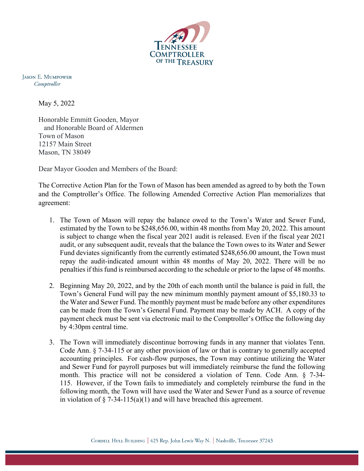

**JASON E. MUMPOWER** Comptroller

May 5, 2022

Honorable Emmitt Gooden, Mayor and Honorable Board of Aldermen Town of Mason 12157 Main Street Mason, TN 38049

Dear Mayor Gooden and Members of the Board:

The Corrective Action Plan for the Town of Mason has been amended as agreed to by both the Town and the Comptroller's Office. The following Amended Corrective Action Plan memorializes that agreement:

- 1. The Town of Mason will repay the balance owed to the Town's Water and Sewer Fund, estimated by the Town to be \$248,656.00, within 48 months from May 20, 2022. This amount is subject to change when the fiscal year 2021 audit is released. Even if the fiscal year 2021 audit, or any subsequent audit, reveals that the balance the Town owes to its Water and Sewer Fund deviates significantly from the currently estimated \$248,656.00 amount, the Town must repay the audit-indicated amount within 48 months of May 20, 2022. There will be no penalties if this fund is reimbursed according to the schedule or prior to the lapse of 48 months.
- 2. Beginning May 20, 2022, and by the 20th of each month until the balance is paid in full, the Town's General Fund will pay the new minimum monthly payment amount of \$5,180.33 to the Water and Sewer Fund. The monthly payment must be made before any other expenditures can be made from the Town's General Fund. Payment may be made by ACH. A copy of the payment check must be sent via electronic mail to the Comptroller's Office the following day by 4:30pm central time.
- 3. The Town will immediately discontinue borrowing funds in any manner that violates Tenn. Code Ann. § 7-34-115 or any other provision of law or that is contrary to generally accepted accounting principles. For cash-flow purposes, the Town may continue utilizing the Water and Sewer Fund for payroll purposes but will immediately reimburse the fund the following month. This practice will not be considered a violation of Tenn. Code Ann. § 7-34- 115. However, if the Town fails to immediately and completely reimburse the fund in the following month, the Town will have used the Water and Sewer Fund as a source of revenue in violation of  $\S$  7-34-115(a)(1) and will have breached this agreement.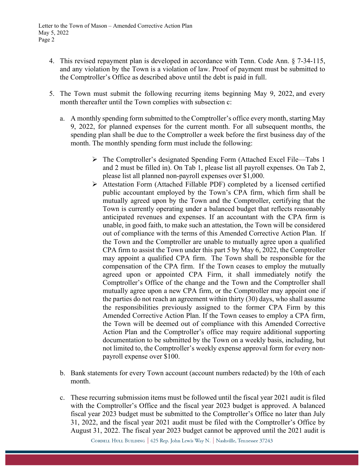- 4. This revised repayment plan is developed in accordance with Tenn. Code Ann. § 7-34-115, and any violation by the Town is a violation of law. Proof of payment must be submitted to the Comptroller's Office as described above until the debt is paid in full.
- 5. The Town must submit the following recurring items beginning May 9, 2022, and every month thereafter until the Town complies with subsection c:
	- a. A monthly spending form submitted to the Comptroller's office every month, starting May 9, 2022, for planned expenses for the current month. For all subsequent months, the spending plan shall be due to the Comptroller a week before the first business day of the month. The monthly spending form must include the following:
		- The Comptroller's designated Spending Form (Attached Excel File—Tabs 1 and 2 must be filled in). On Tab 1, please list all payroll expenses. On Tab 2, please list all planned non-payroll expenses over \$1,000.
		- Attestation Form (Attached Fillable PDF) completed by a licensed certified public accountant employed by the Town's CPA firm, which firm shall be mutually agreed upon by the Town and the Comptroller, certifying that the Town is currently operating under a balanced budget that reflects reasonably anticipated revenues and expenses. If an accountant with the CPA firm is unable, in good faith, to make such an attestation, the Town will be considered out of compliance with the terms of this Amended Corrective Action Plan. If the Town and the Comptroller are unable to mutually agree upon a qualified CPA firm to assist the Town under this part 5 by May 6, 2022, the Comptroller may appoint a qualified CPA firm. The Town shall be responsible for the compensation of the CPA firm. If the Town ceases to employ the mutually agreed upon or appointed CPA Firm, it shall immediately notify the Comptroller's Office of the change and the Town and the Comptroller shall mutually agree upon a new CPA firm, or the Comptroller may appoint one if the parties do not reach an agreement within thirty (30) days, who shall assume the responsibilities previously assigned to the former CPA Firm by this Amended Corrective Action Plan. If the Town ceases to employ a CPA firm, the Town will be deemed out of compliance with this Amended Corrective Action Plan and the Comptroller's office may require additional supporting documentation to be submitted by the Town on a weekly basis, including, but not limited to, the Comptroller's weekly expense approval form for every nonpayroll expense over \$100.
	- b. Bank statements for every Town account (account numbers redacted) by the 10th of each month.
	- c. These recurring submission items must be followed until the fiscal year 2021 audit is filed with the Comptroller's Office and the fiscal year 2023 budget is approved. A balanced fiscal year 2023 budget must be submitted to the Comptroller's Office no later than July 31, 2022, and the fiscal year 2021 audit must be filed with the Comptroller's Office by August 31, 2022. The fiscal year 2023 budget cannot be approved until the 2021 audit is

CORDELL HULL BUILDING | 425 Rep. John Lewis Way N. | Nashville, Tennessee 37243